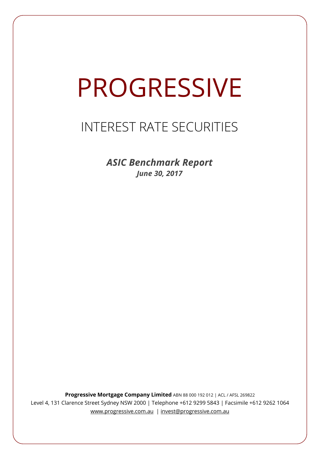# PROGRESSIVE

## INTEREST RATE SECURITIES

*ASIC Benchmark Report June 30, 2017*

**Progressive Mortgage Company Limited** ABN 88 000 192 012 | ACL / AFSL 269822 Level 4, 131 Clarence Street Sydney NSW 2000 | Telephone +612 9299 5843 | Facsimile +612 9262 1064 www.progressive.com.au | invest@progressive.com.au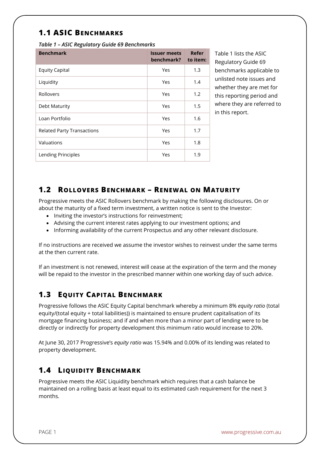### **1.1 ASIC BENCHMARKS**

*Table 1 – ASIC Regulatory Guide 69 Benchmarks* 

| <b>Benchmark</b>                  | <b>Issuer meets</b><br>benchmark? | Refer<br>to item: |
|-----------------------------------|-----------------------------------|-------------------|
| <b>Equity Capital</b>             | Yes                               | 1.3               |
| Liquidity                         | Yes                               | 1.4               |
| Rollovers                         | Yes                               | 1.2               |
| Debt Maturity                     | Yes                               | 1.5               |
| Loan Portfolio                    | Yes                               | 1.6               |
| <b>Related Party Transactions</b> | Yes                               | 1.7               |
| Valuations                        | Yes                               | 1.8               |
| Lending Principles                | Yes                               | 1.9               |

Table 1 lists the ASIC Regulatory Guide 69 benchmarks applicable to unlisted note issues and whether they are met for this reporting period and where they are referred to in this report.

#### **1.2 ROLLOVERS BENCHMARK – RENEWAL ON MATURITY**

Progressive meets the ASIC Rollovers benchmark by making the following disclosures. On or about the maturity of a fixed term investment, a written notice is sent to the Investor:

- Inviting the investor's instructions for reinvestment;
- Advising the current interest rates applying to our investment options; and
- Informing availability of the current Prospectus and any other relevant disclosure.

If no instructions are received we assume the investor wishes to reinvest under the same terms at the then current rate.

If an investment is not renewed, interest will cease at the expiration of the term and the money will be repaid to the investor in the prescribed manner within one working day of such advice.

#### **1.3 EQUITY CAPITAL BENCHMARK**

Progressive follows the ASIC Equity Capital benchmark whereby a minimum 8% *equity ratio* (total equity/(total equity + total liabilities)) is maintained to ensure prudent capitalisation of its mortgage financing business; and if and when more than a minor part of lending were to be directly or indirectly for property development this minimum ratio would increase to 20%.

At June 30, 2017 Progressive's *equity ratio* was 15.94% and 0.00% of its lending was related to property development.

#### **1.4 LIQUIDITY BENCHMARK**

Progressive meets the ASIC Liquidity benchmark which requires that a cash balance be maintained on a rolling basis at least equal to its estimated cash requirement for the next 3 months.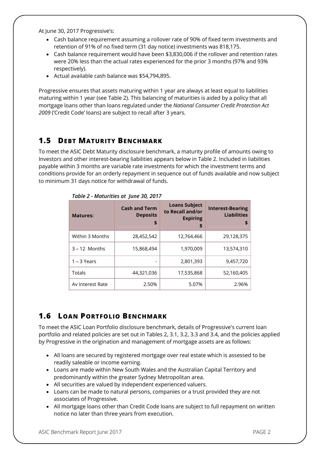At June 30, 2017 Progressive's:

- Cash balance requirement assuming a rollover rate of 90% of fixed term investments and retention of 91% of no fixed term (31 day notice) investments was 818,175.
- Cash balance requirement would have been \$3,830,006 if the rollover and retention rates were 20% less than the actual rates experienced for the prior 3 months (97% and 93% respectively).
- Actual available cash balance was \$54,794,895.

Progressive ensures that assets maturing within 1 year are always at least equal to liabilities maturing within 1 year (see Table 2). This balancing of maturities is aided by a policy that all mortgage loans other than loans regulated under the *National Consumer Credit Protection Act 2009* ('Credit Code' loans) are subject to recall after 3 years.

#### **1.5 DEBT MATURITY BENCHMARK**

To meet the ASIC Debt Maturity disclosure benchmark, a maturity profile of amounts owing to Investors and other interest-bearing liabilities appears below in Table 2. Included in liabilities payable within 3 months are variable rate investments for which the investment terms and conditions provide for an orderly repayment in sequence out of funds available and now subject to minimum 31 days notice for withdrawal of funds.

| <b>Matures:</b>  | <b>Cash and Term</b><br><b>Deposits</b><br>\$ | <b>Loans Subject</b><br>to Recall and/or<br><b>Expiring</b><br>\$ | <b>Interest-Bearing</b><br><b>Liabilities</b><br>\$ |
|------------------|-----------------------------------------------|-------------------------------------------------------------------|-----------------------------------------------------|
| Within 3 Months  | 28,452,542                                    | 12,764,466                                                        | 29,128,375                                          |
| $3 - 12$ Months  | 15,868,494                                    | 1,970,009                                                         | 13,574,310                                          |
| $1 - 3$ Years    |                                               | 2,801,393                                                         | 9,457,720                                           |
| Totals           | 44,321,036                                    | 17,535,868                                                        | 52,160,405                                          |
| Av Interest Rate | 2.50%                                         | 5.07%                                                             | 2.96%                                               |

*Table 2 - Maturities at June 30, 2017*

#### **1.6 LOAN PORTFOLIO BENCHMARK**

To meet the ASIC Loan Portfolio disclosure benchmark, details of Progressive's current loan portfolio and related policies are set out in Tables 2, 3.1, 3.2, 3.3 and 3.4, and the policies applied by Progressive in the origination and management of mortgage assets are as follows:

- All loans are secured by registered mortgage over real estate which is assessed to be readily saleable or income earning.
- Loans are made within New South Wales and the Australian Capital Territory and predominantly within the greater Sydney Metropolitan area.
- All securities are valued by independent experienced valuers.
- Loans can be made to natural persons, companies or a trust provided they are not associates of Progressive.
- All mortgage loans other than Credit Code loans are subject to full repayment on written notice no later than three years from execution.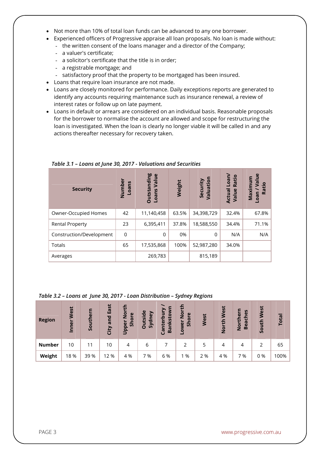- Not more than 10% of total loan funds can be advanced to any one borrower.
- Experienced officers of Progressive appraise all loan proposals. No loan is made without:
	- the written consent of the loans manager and a director of the Company;
	- a valuer's certificate;
	- a solicitor's certificate that the title is in order;
	- a registrable mortgage; and
	- satisfactory proof that the property to be mortgaged has been insured.
- Loans that require loan insurance are not made.
- Loans are closely monitored for performance. Daily exceptions reports are generated to identify any accounts requiring maintenance such as insurance renewal, a review of interest rates or follow up on late payment.
- Loans in default or arrears are considered on an individual basis. Reasonable proposals for the borrower to normalise the account are allowed and scope for restructuring the loan is investigated. When the loan is clearly no longer viable it will be called in and any actions thereafter necessary for recovery taken.

| <b>Security</b>          | Number<br>Loans | <b>Outstanding</b><br>$\omega$<br>Value<br><b>Loans</b> | Weight | Security<br>Valuation | Loan/<br>Ratio<br><b>Actual</b><br>Value | $e$<br>Ε<br>Maximu<br>厄<br>Ratio<br>neon |
|--------------------------|-----------------|---------------------------------------------------------|--------|-----------------------|------------------------------------------|------------------------------------------|
| Owner-Occupied Homes     | 42              | 11,140,458                                              | 63.5%  | 34,398,729            | 32.4%                                    | 67.8%                                    |
| <b>Rental Property</b>   | 23              | 6,395,411                                               | 37.8%  | 18,588,550            | 34.4%                                    | 71.1%                                    |
| Construction/Development | $\mathbf 0$     | $\Omega$                                                | 0%     | $\Omega$              | N/A                                      | N/A                                      |
| Totals                   | 65              | 17,535,868                                              | 100%   | 52,987,280            | 34.0%                                    |                                          |
| Averages                 |                 | 269,783                                                 |        | 815,189               |                                          |                                          |

*Table 3.1 – Loans at June 30, 2017 - Valuations and Securities*

#### *Table 3.2 – Loans at June 30, 2017 - Loan Distribution – Sydney Regions*

| <b>Region</b> | West<br>Inner | Southern | East<br>and<br>City | $\mathbf{f}$<br>$\overline{2}$<br>$\omega$<br>Shor<br>õ<br><b>Dapp</b> | utside<br>Sydney<br>$\circ$ | Bankstow<br>nterbur<br>ලි | 운<br>$\frac{5}{2}$<br>$\mathbf{\omega}$<br>ŏ<br>$\overline{5}$<br>ower | West | West<br>North | S<br>$\omega$<br>$\mathbf{v}$<br>Ē<br>ပ<br>u<br>Bea<br>ior<br>2 | West<br>South | Total |
|---------------|---------------|----------|---------------------|------------------------------------------------------------------------|-----------------------------|---------------------------|------------------------------------------------------------------------|------|---------------|-----------------------------------------------------------------|---------------|-------|
| <b>Number</b> | 10            | 11       | 10                  | 4                                                                      | 6                           |                           |                                                                        | 5    | 4             | 4                                                               |               | 65    |
| Weight        | 18 %          | 39 %     | 12 %                | 4 %                                                                    | 7 %                         | 6 %                       | 1 %                                                                    | 2 %  | 4 %           | 7 %                                                             | 0%            | 100%  |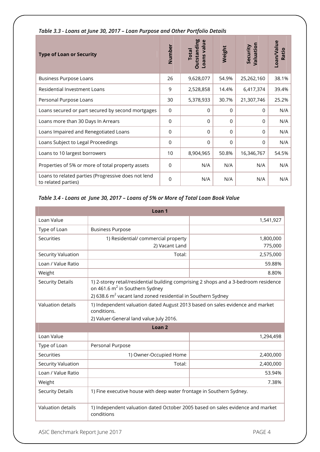| <b>Type of Loan or Security</b>                                            | Number         | <b>Outstanding</b><br>Loans value<br><b>Total</b> | Weight   | Valuation<br>Security | Loan/Value<br>Ratio |
|----------------------------------------------------------------------------|----------------|---------------------------------------------------|----------|-----------------------|---------------------|
| <b>Business Purpose Loans</b>                                              | 26             | 9,628,077                                         | 54.9%    | 25,262,160            | 38.1%               |
| Residential Investment Loans                                               | 9              | 2,528,858                                         | 14.4%    | 6,417,374             | 39.4%               |
| Personal Purpose Loans                                                     | 30             | 5,378,933                                         | 30.7%    | 21,307,746            | 25.2%               |
| Loans secured or part secured by second mortgages                          | $\mathbf 0$    | $\Omega$                                          | 0        | $\Omega$              | N/A                 |
| Loans more than 30 Days In Arrears                                         | $\Omega$       | $\Omega$                                          | 0        | $\Omega$              | N/A                 |
| Loans Impaired and Renegotiated Loans                                      | $\mathbf 0$    | $\Omega$                                          | $\Omega$ | $\Omega$              | N/A                 |
| Loans Subject to Legal Proceedings                                         | $\Omega$       | $\Omega$                                          | $\Omega$ | $\Omega$              | N/A                 |
| Loans to 10 largest borrowers                                              | 10             | 8,904,965                                         | 50.8%    | 16,346,767            | 54.5%               |
| Properties of 5% or more of total property assets                          | $\Omega$       | N/A                                               | N/A      | N/A                   | N/A                 |
| Loans to related parties (Progressive does not lend<br>to related parties) | $\overline{0}$ | N/A                                               | N/A      | N/A                   | N/A                 |

*Table 3.3 - Loans at June 30, 2017 – Loan Purpose and Other Portfolio Details* 

#### *Table 3.4 - Loans at June 30, 2017 – Loans of 5% or More of Total Loan Book Value*

| Loan <sub>1</sub>       |                                                                                                                                                                                                                |           |  |  |  |  |
|-------------------------|----------------------------------------------------------------------------------------------------------------------------------------------------------------------------------------------------------------|-----------|--|--|--|--|
| Loan Value              |                                                                                                                                                                                                                | 1,541,927 |  |  |  |  |
| Type of Loan            | <b>Business Purpose</b>                                                                                                                                                                                        |           |  |  |  |  |
| Securities              | 1) Residential/ commercial property                                                                                                                                                                            | 1,800,000 |  |  |  |  |
|                         | 2) Vacant Land                                                                                                                                                                                                 | 775,000   |  |  |  |  |
| Security Valuation      | Total:                                                                                                                                                                                                         | 2,575,000 |  |  |  |  |
| Loan / Value Ratio      |                                                                                                                                                                                                                | 59.88%    |  |  |  |  |
| Weight                  |                                                                                                                                                                                                                | 8.80%     |  |  |  |  |
| <b>Security Details</b> | 1) 2-storey retail/residential building comprising 2 shops and a 3-bedroom residence<br>on 461.6 m <sup>2</sup> in Southern Sydney<br>2) 638.6 m <sup>2</sup> vacant land zoned residential in Southern Sydney |           |  |  |  |  |
| Valuation details       | 1) Independent valuation dated August 2013 based on sales evidence and market<br>conditions.<br>2) Valuer-General land value July 2016.                                                                        |           |  |  |  |  |
| Loan <sub>2</sub>       |                                                                                                                                                                                                                |           |  |  |  |  |
| Loan Value              |                                                                                                                                                                                                                | 1,294,498 |  |  |  |  |
| Type of Loan            | Personal Purpose                                                                                                                                                                                               |           |  |  |  |  |
| <b>Securities</b>       | 1) Owner-Occupied Home                                                                                                                                                                                         | 2,400,000 |  |  |  |  |
| Security Valuation      | Total:                                                                                                                                                                                                         | 2,400,000 |  |  |  |  |
| Loan / Value Ratio      |                                                                                                                                                                                                                | 53.94%    |  |  |  |  |
| Weight                  |                                                                                                                                                                                                                | 7.38%     |  |  |  |  |
| <b>Security Details</b> | 1) Fine executive house with deep water frontage in Southern Sydney.                                                                                                                                           |           |  |  |  |  |
| Valuation details       | 1) Independent valuation dated October 2005 based on sales evidence and market<br>conditions                                                                                                                   |           |  |  |  |  |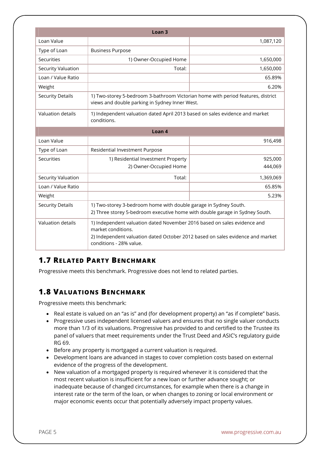|                           | Loan <sub>3</sub>                                                                                                                                                                                           |           |  |  |  |  |
|---------------------------|-------------------------------------------------------------------------------------------------------------------------------------------------------------------------------------------------------------|-----------|--|--|--|--|
| Loan Value                |                                                                                                                                                                                                             | 1,087,120 |  |  |  |  |
| Type of Loan              | <b>Business Purpose</b>                                                                                                                                                                                     |           |  |  |  |  |
| Securities                | 1) Owner-Occupied Home                                                                                                                                                                                      | 1,650,000 |  |  |  |  |
| <b>Security Valuation</b> | Total:                                                                                                                                                                                                      | 1,650,000 |  |  |  |  |
| Loan / Value Ratio        |                                                                                                                                                                                                             | 65.89%    |  |  |  |  |
| Weight                    |                                                                                                                                                                                                             | 6.20%     |  |  |  |  |
| <b>Security Details</b>   | 1) Two-storey 5-bedroom 3-bathroom Victorian home with period features, district<br>views and double parking in Sydney Inner West.                                                                          |           |  |  |  |  |
| Valuation details         | 1) Independent valuation dated April 2013 based on sales evidence and market<br>conditions.                                                                                                                 |           |  |  |  |  |
| Loan <sub>4</sub>         |                                                                                                                                                                                                             |           |  |  |  |  |
| Loan Value                |                                                                                                                                                                                                             | 916,498   |  |  |  |  |
| Type of Loan              | Residential Investment Purpose                                                                                                                                                                              |           |  |  |  |  |
| Securities                | 1) Residential Investment Property                                                                                                                                                                          | 925,000   |  |  |  |  |
|                           | 2) Owner-Occupied Home                                                                                                                                                                                      | 444,069   |  |  |  |  |
| Security Valuation        | Total:                                                                                                                                                                                                      | 1,369,069 |  |  |  |  |
| Loan / Value Ratio        |                                                                                                                                                                                                             | 65.85%    |  |  |  |  |
| Weight                    |                                                                                                                                                                                                             | 5.23%     |  |  |  |  |
| <b>Security Details</b>   | 1) Two-storey 3-bedroom home with double garage in Sydney South.<br>2) Three storey 5-bedroom executive home with double garage in Sydney South.                                                            |           |  |  |  |  |
| <b>Valuation details</b>  | 1) Independent valuation dated November 2016 based on sales evidence and<br>market conditions.<br>2) Independent valuation dated October 2012 based on sales evidence and market<br>conditions - 28% value. |           |  |  |  |  |

#### **1.7 RELATED PARTY BENCHMARK**

Progressive meets this benchmark. Progressive does not lend to related parties.

#### **1.8 VALUATIONS BENCHMARK**

Progressive meets this benchmark:

- Real estate is valued on an "as is" and (for development property) an "as if complete" basis.
- Progressive uses independent licensed valuers and ensures that no single valuer conducts more than 1/3 of its valuations. Progressive has provided to and certified to the Trustee its panel of valuers that meet requirements under the Trust Deed and ASIC's regulatory guide RG 69.
- Before any property is mortgaged a current valuation is required.
- Development loans are advanced in stages to cover completion costs based on external evidence of the progress of the development.
- New valuation of a mortgaged property is required whenever it is considered that the most recent valuation is insufficient for a new loan or further advance sought; or inadequate because of changed circumstances, for example when there is a change in interest rate or the term of the loan, or when changes to zoning or local environment or major economic events occur that potentially adversely impact property values.